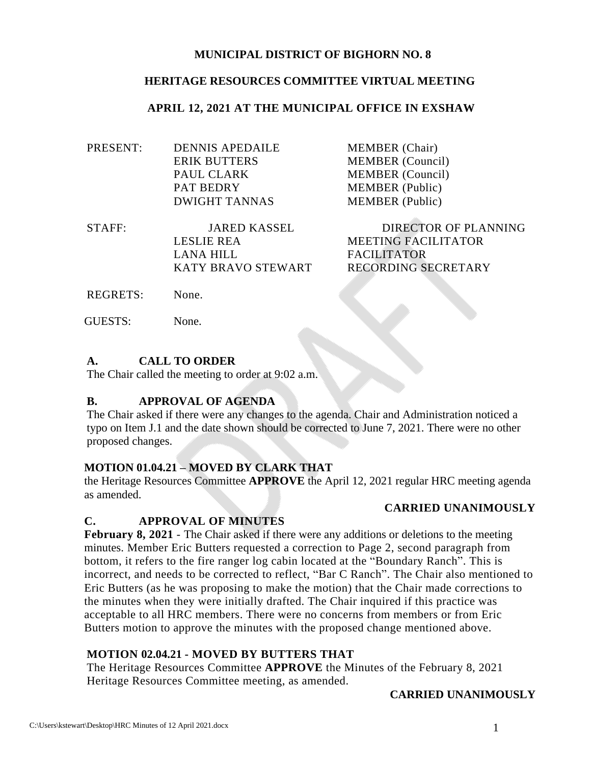#### **MUNICIPAL DISTRICT OF BIGHORN NO. 8**

#### **HERITAGE RESOURCES COMMITTEE VIRTUAL MEETING**

#### **APRIL 12, 2021 AT THE MUNICIPAL OFFICE IN EXSHAW**

| <b>DENNIS APEDAILE</b> | <b>MEMBER</b> (Chair)   |
|------------------------|-------------------------|
| <b>ERIK BUTTERS</b>    | <b>MEMBER</b> (Council) |
| PAUL CLARK             | <b>MEMBER</b> (Council) |
| <b>PAT BEDRY</b>       | <b>MEMBER</b> (Public)  |
| <b>DWIGHT TANNAS</b>   | <b>MEMBER</b> (Public)  |
|                        |                         |

| STAFF: | JARED KASSEL       | DIRECTOR OF PLANNING       |
|--------|--------------------|----------------------------|
|        | LESLIE REA         | <b>MEETING FACILITATOR</b> |
|        | LANA HILL          | <b>FACILITATOR</b>         |
|        | KATY BRAVO STEWART | RECORDING SECRETARY        |
|        |                    |                            |

REGRETS: None.

GUESTS: None.

### **A. CALL TO ORDER**

The Chair called the meeting to order at 9:02 a.m.

#### **B. APPROVAL OF AGENDA**

The Chair asked if there were any changes to the agenda. Chair and Administration noticed a typo on Item J.1 and the date shown should be corrected to June 7, 2021. There were no other proposed changes.

# **MOTION 01.04.21 – MOVED BY CLARK THAT**

the Heritage Resources Committee **APPROVE** the April 12, 2021 regular HRC meeting agenda as amended.

#### **CARRIED UNANIMOUSLY**

# **C. APPROVAL OF MINUTES**

**February 8, 2021** - The Chair asked if there were any additions or deletions to the meeting minutes. Member Eric Butters requested a correction to Page 2, second paragraph from bottom, it refers to the fire ranger log cabin located at the "Boundary Ranch". This is incorrect, and needs to be corrected to reflect, "Bar C Ranch". The Chair also mentioned to Eric Butters (as he was proposing to make the motion) that the Chair made corrections to the minutes when they were initially drafted. The Chair inquired if this practice was acceptable to all HRC members. There were no concerns from members or from Eric Butters motion to approve the minutes with the proposed change mentioned above.

# **MOTION 02.04.21 - MOVED BY BUTTERS THAT**

The Heritage Resources Committee **APPROVE** the Minutes of the February 8, 2021 Heritage Resources Committee meeting, as amended.

#### **CARRIED UNANIMOUSLY**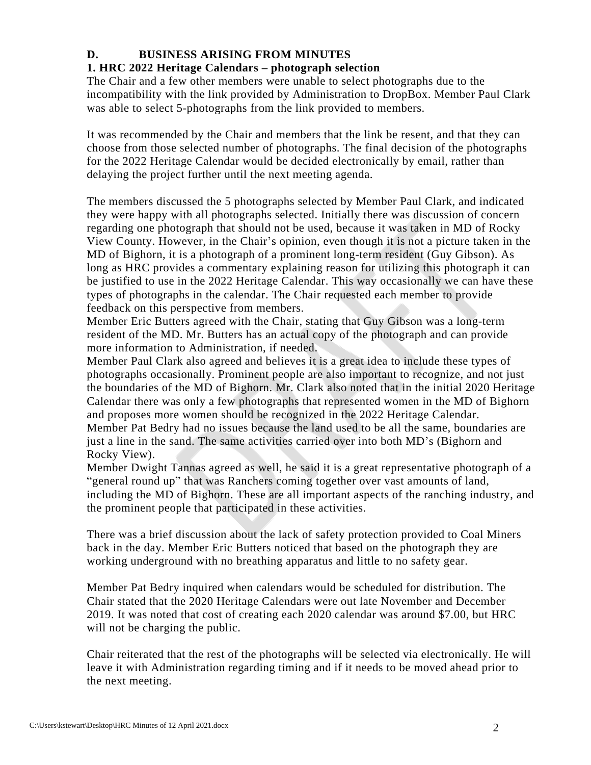# **D. BUSINESS ARISING FROM MINUTES**

# **1. HRC 2022 Heritage Calendars – photograph selection**

The Chair and a few other members were unable to select photographs due to the incompatibility with the link provided by Administration to DropBox. Member Paul Clark was able to select 5-photographs from the link provided to members.

It was recommended by the Chair and members that the link be resent, and that they can choose from those selected number of photographs. The final decision of the photographs for the 2022 Heritage Calendar would be decided electronically by email, rather than delaying the project further until the next meeting agenda.

The members discussed the 5 photographs selected by Member Paul Clark, and indicated they were happy with all photographs selected. Initially there was discussion of concern regarding one photograph that should not be used, because it was taken in MD of Rocky View County. However, in the Chair's opinion, even though it is not a picture taken in the MD of Bighorn, it is a photograph of a prominent long-term resident (Guy Gibson). As long as HRC provides a commentary explaining reason for utilizing this photograph it can be justified to use in the 2022 Heritage Calendar. This way occasionally we can have these types of photographs in the calendar. The Chair requested each member to provide feedback on this perspective from members.

Member Eric Butters agreed with the Chair, stating that Guy Gibson was a long-term resident of the MD. Mr. Butters has an actual copy of the photograph and can provide more information to Administration, if needed.

Member Paul Clark also agreed and believes it is a great idea to include these types of photographs occasionally. Prominent people are also important to recognize, and not just the boundaries of the MD of Bighorn. Mr. Clark also noted that in the initial 2020 Heritage Calendar there was only a few photographs that represented women in the MD of Bighorn and proposes more women should be recognized in the 2022 Heritage Calendar. Member Pat Bedry had no issues because the land used to be all the same, boundaries are just a line in the sand. The same activities carried over into both MD's (Bighorn and Rocky View).

Member Dwight Tannas agreed as well, he said it is a great representative photograph of a "general round up" that was Ranchers coming together over vast amounts of land, including the MD of Bighorn. These are all important aspects of the ranching industry, and the prominent people that participated in these activities.

There was a brief discussion about the lack of safety protection provided to Coal Miners back in the day. Member Eric Butters noticed that based on the photograph they are working underground with no breathing apparatus and little to no safety gear.

Member Pat Bedry inquired when calendars would be scheduled for distribution. The Chair stated that the 2020 Heritage Calendars were out late November and December 2019. It was noted that cost of creating each 2020 calendar was around \$7.00, but HRC will not be charging the public.

Chair reiterated that the rest of the photographs will be selected via electronically. He will leave it with Administration regarding timing and if it needs to be moved ahead prior to the next meeting.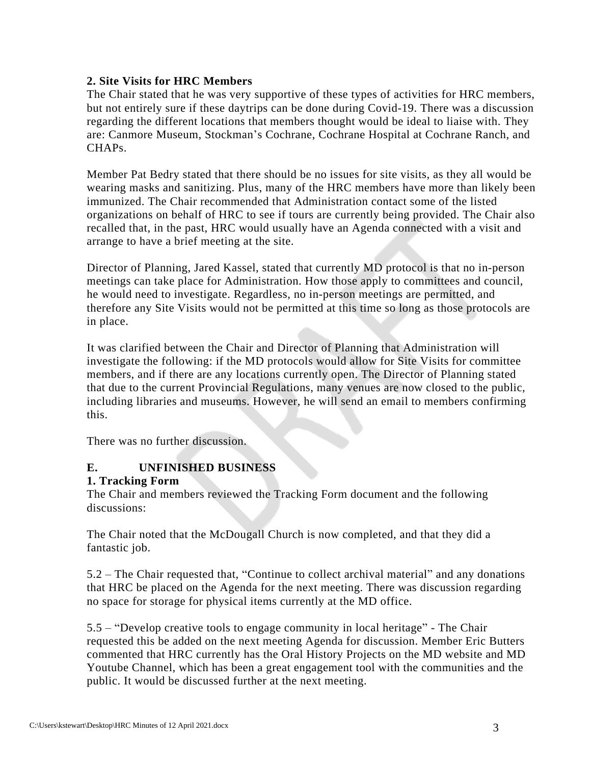### **2. Site Visits for HRC Members**

The Chair stated that he was very supportive of these types of activities for HRC members, but not entirely sure if these daytrips can be done during Covid-19. There was a discussion regarding the different locations that members thought would be ideal to liaise with. They are: Canmore Museum, Stockman's Cochrane, Cochrane Hospital at Cochrane Ranch, and CHAPs.

Member Pat Bedry stated that there should be no issues for site visits, as they all would be wearing masks and sanitizing. Plus, many of the HRC members have more than likely been immunized. The Chair recommended that Administration contact some of the listed organizations on behalf of HRC to see if tours are currently being provided. The Chair also recalled that, in the past, HRC would usually have an Agenda connected with a visit and arrange to have a brief meeting at the site.

Director of Planning, Jared Kassel, stated that currently MD protocol is that no in-person meetings can take place for Administration. How those apply to committees and council, he would need to investigate. Regardless, no in-person meetings are permitted, and therefore any Site Visits would not be permitted at this time so long as those protocols are in place.

It was clarified between the Chair and Director of Planning that Administration will investigate the following: if the MD protocols would allow for Site Visits for committee members, and if there are any locations currently open. The Director of Planning stated that due to the current Provincial Regulations, many venues are now closed to the public, including libraries and museums. However, he will send an email to members confirming this.

There was no further discussion.

# **E. UNFINISHED BUSINESS**

#### **1. Tracking Form**

The Chair and members reviewed the Tracking Form document and the following discussions:

The Chair noted that the McDougall Church is now completed, and that they did a fantastic job.

5.2 – The Chair requested that, "Continue to collect archival material" and any donations that HRC be placed on the Agenda for the next meeting. There was discussion regarding no space for storage for physical items currently at the MD office.

5.5 – "Develop creative tools to engage community in local heritage" - The Chair requested this be added on the next meeting Agenda for discussion. Member Eric Butters commented that HRC currently has the Oral History Projects on the MD website and MD Youtube Channel, which has been a great engagement tool with the communities and the public. It would be discussed further at the next meeting.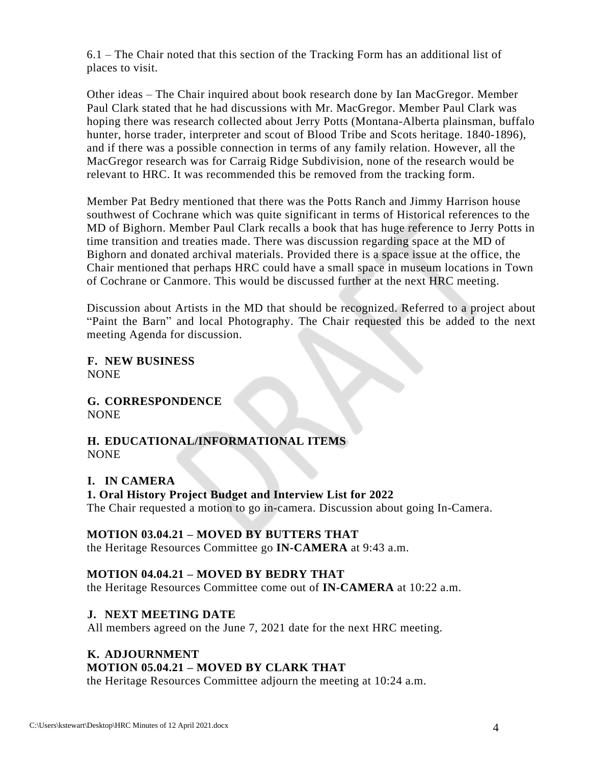6.1 – The Chair noted that this section of the Tracking Form has an additional list of places to visit.

Other ideas – The Chair inquired about book research done by Ian MacGregor. Member Paul Clark stated that he had discussions with Mr. MacGregor. Member Paul Clark was hoping there was research collected about Jerry Potts (Montana-Alberta plainsman, buffalo hunter, horse trader, interpreter and scout of Blood Tribe and Scots heritage. 1840-1896), and if there was a possible connection in terms of any family relation. However, all the MacGregor research was for Carraig Ridge Subdivision, none of the research would be relevant to HRC. It was recommended this be removed from the tracking form.

Member Pat Bedry mentioned that there was the Potts Ranch and Jimmy Harrison house southwest of Cochrane which was quite significant in terms of Historical references to the MD of Bighorn. Member Paul Clark recalls a book that has huge reference to Jerry Potts in time transition and treaties made. There was discussion regarding space at the MD of Bighorn and donated archival materials. Provided there is a space issue at the office, the Chair mentioned that perhaps HRC could have a small space in museum locations in Town of Cochrane or Canmore. This would be discussed further at the next HRC meeting.

Discussion about Artists in the MD that should be recognized. Referred to a project about "Paint the Barn" and local Photography. The Chair requested this be added to the next meeting Agenda for discussion.

**F. NEW BUSINESS** NONE

**G. CORRESPONDENCE** NONE

### **H. EDUCATIONAL/INFORMATIONAL ITEMS** NONE

# **I. IN CAMERA**

#### **1. Oral History Project Budget and Interview List for 2022**

The Chair requested a motion to go in-camera. Discussion about going In-Camera.

#### **MOTION 03.04.21 – MOVED BY BUTTERS THAT**

the Heritage Resources Committee go **IN-CAMERA** at 9:43 a.m.

# **MOTION 04.04.21 – MOVED BY BEDRY THAT**

the Heritage Resources Committee come out of **IN-CAMERA** at 10:22 a.m.

# **J. NEXT MEETING DATE**

All members agreed on the June 7, 2021 date for the next HRC meeting.

# **K. ADJOURNMENT**

# **MOTION 05.04.21 – MOVED BY CLARK THAT**

the Heritage Resources Committee adjourn the meeting at 10:24 a.m.